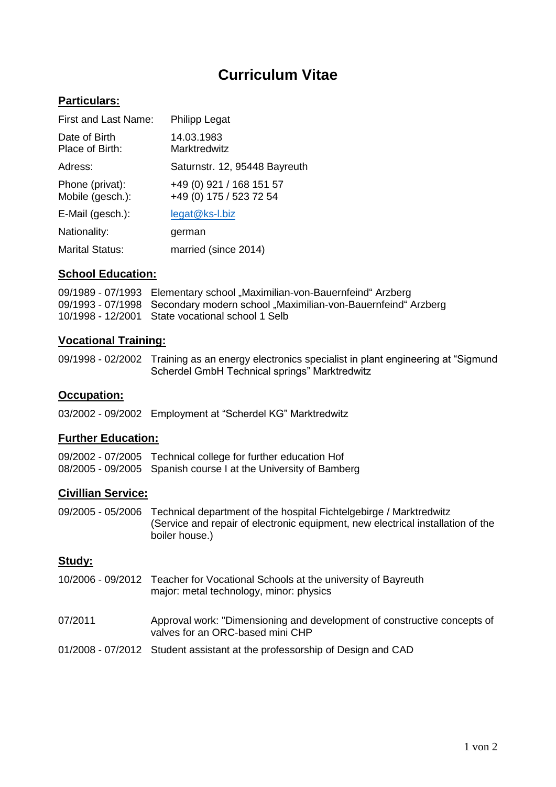# **Curriculum Vitae**

## **Particulars:**

| <b>First and Last Name:</b>         | <b>Philipp Legat</b>                                |
|-------------------------------------|-----------------------------------------------------|
| Date of Birth<br>Place of Birth:    | 14.03.1983<br>Marktredwitz                          |
| Adress:                             | Saturnstr. 12, 95448 Bayreuth                       |
| Phone (privat):<br>Mobile (gesch.): | +49 (0) 921 / 168 151 57<br>+49 (0) 175 / 523 72 54 |
| E-Mail (gesch.):                    | legat@ks-l.biz                                      |
| Nationality:                        | german                                              |
| <b>Marital Status:</b>              | married (since 2014)                                |

#### **School Education:**

09/1989 - 07/1993 Elementary school "Maximilian-von-Bauernfeind" Arzberg 09/1993 - 07/1998 Secondary modern school "Maximilian-von-Bauernfeind" Arzberg 10/1998 - 12/2001 State vocational school 1 Selb

#### **Vocational Training:**

09/1998 - 02/2002 Training as an energy electronics specialist in plant engineering at "Sigmund Scherdel GmbH Technical springs" Marktredwitz

#### **Occupation:**

03/2002 - 09/2002 Employment at "Scherdel KG" Marktredwitz

#### **Further Education:**

09/2002 - 07/2005 Technical college for further education Hof 08/2005 - 09/2005 Spanish course I at the University of Bamberg

#### **Civillian Service:**

09/2005 - 05/2006 Technical department of the hospital Fichtelgebirge / Marktredwitz (Service and repair of electronic equipment, new electrical installation of the boiler house.)

## **Study:**

- 10/2006 09/2012 Teacher for Vocational Schools at the university of Bayreuth major: metal technology, minor: physics
- 07/2011 Approval work: "Dimensioning and development of constructive concepts of valves for an ORC-based mini CHP
- 01/2008 07/2012 Student assistant at the professorship of Design and CAD